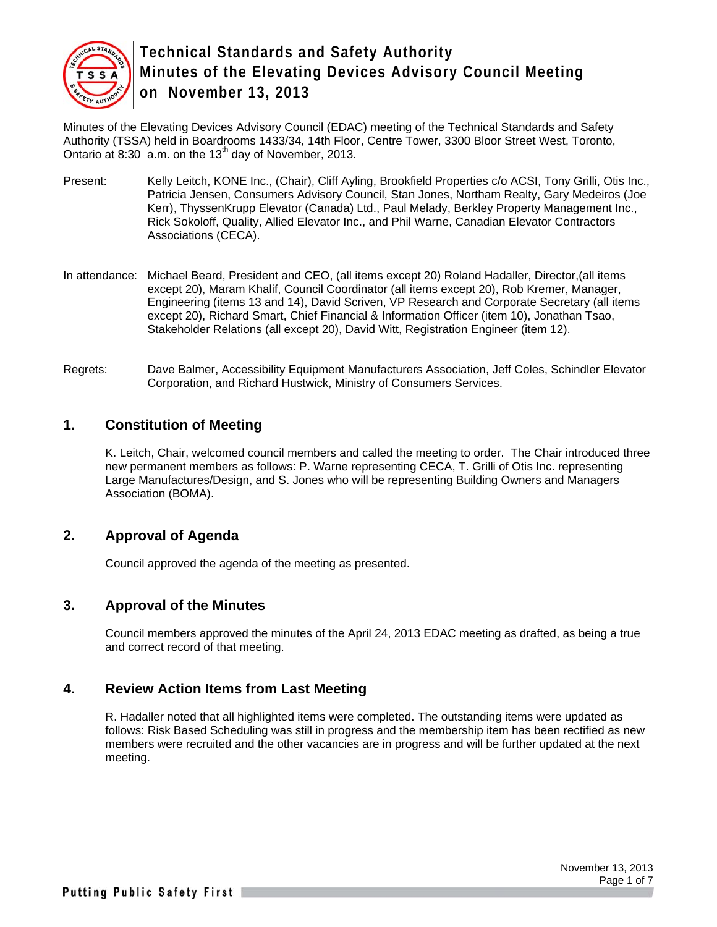

Minutes of the Elevating Devices Advisory Council (EDAC) meeting of the Technical Standards and Safety Authority (TSSA) held in Boardrooms 1433/34, 14th Floor, Centre Tower, 3300 Bloor Street West, Toronto, Ontario at  $8:30$  a.m. on the 13<sup>th</sup> day of November, 2013.

- Present: Kelly Leitch, KONE Inc., (Chair), Cliff Ayling, Brookfield Properties c/o ACSI, Tony Grilli, Otis Inc., Patricia Jensen, Consumers Advisory Council, Stan Jones, Northam Realty, Gary Medeiros (Joe Kerr), ThyssenKrupp Elevator (Canada) Ltd., Paul Melady, Berkley Property Management Inc., Rick Sokoloff, Quality, Allied Elevator Inc., and Phil Warne, Canadian Elevator Contractors Associations (CECA).
- In attendance: Michael Beard, President and CEO, (all items except 20) Roland Hadaller, Director,(all items except 20), Maram Khalif, Council Coordinator (all items except 20), Rob Kremer, Manager, Engineering (items 13 and 14), David Scriven, VP Research and Corporate Secretary (all items except 20), Richard Smart, Chief Financial & Information Officer (item 10), Jonathan Tsao, Stakeholder Relations (all except 20), David Witt, Registration Engineer (item 12).
- Regrets: Dave Balmer, Accessibility Equipment Manufacturers Association, Jeff Coles, Schindler Elevator Corporation, and Richard Hustwick, Ministry of Consumers Services.

#### **1. Constitution of Meeting**

K. Leitch, Chair, welcomed council members and called the meeting to order. The Chair introduced three new permanent members as follows: P. Warne representing CECA, T. Grilli of Otis Inc. representing Large Manufactures/Design, and S. Jones who will be representing Building Owners and Managers Association (BOMA).

#### **2. Approval of Agenda**

Council approved the agenda of the meeting as presented.

#### **3. Approval of the Minutes**

Council members approved the minutes of the April 24, 2013 EDAC meeting as drafted, as being a true and correct record of that meeting.

#### **4. Review Action Items from Last Meeting**

R. Hadaller noted that all highlighted items were completed. The outstanding items were updated as follows: Risk Based Scheduling was still in progress and the membership item has been rectified as new members were recruited and the other vacancies are in progress and will be further updated at the next meeting.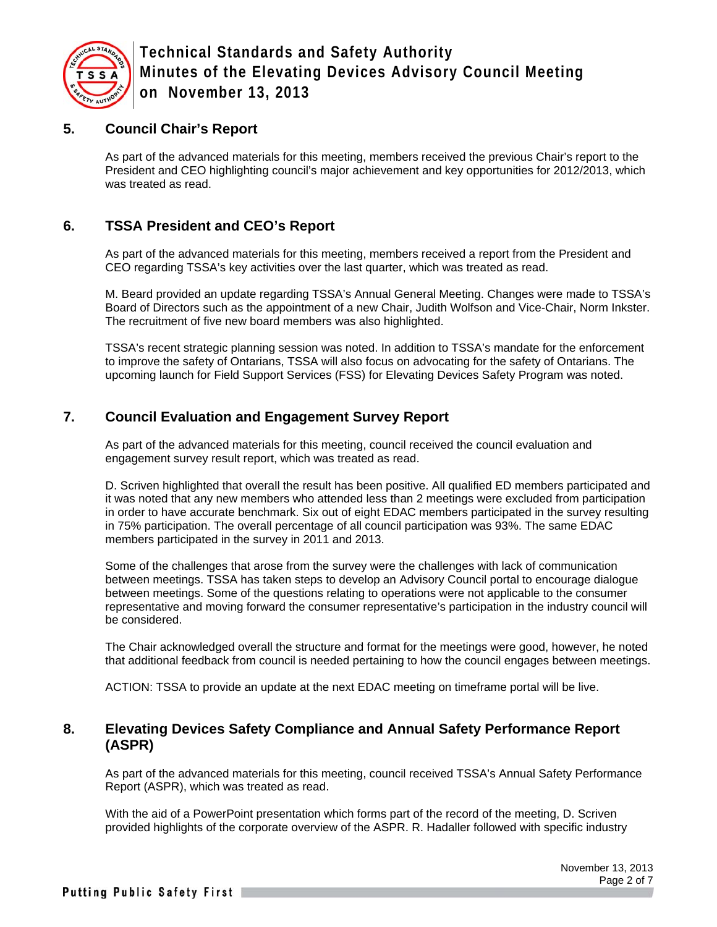

### **5. Council Chair's Report**

As part of the advanced materials for this meeting, members received the previous Chair's report to the President and CEO highlighting council's major achievement and key opportunities for 2012/2013, which was treated as read.

## **6. TSSA President and CEO's Report**

As part of the advanced materials for this meeting, members received a report from the President and CEO regarding TSSA's key activities over the last quarter, which was treated as read.

M. Beard provided an update regarding TSSA's Annual General Meeting. Changes were made to TSSA's Board of Directors such as the appointment of a new Chair, Judith Wolfson and Vice-Chair, Norm Inkster. The recruitment of five new board members was also highlighted.

TSSA's recent strategic planning session was noted. In addition to TSSA's mandate for the enforcement to improve the safety of Ontarians, TSSA will also focus on advocating for the safety of Ontarians. The upcoming launch for Field Support Services (FSS) for Elevating Devices Safety Program was noted.

## **7. Council Evaluation and Engagement Survey Report**

As part of the advanced materials for this meeting, council received the council evaluation and engagement survey result report, which was treated as read.

D. Scriven highlighted that overall the result has been positive. All qualified ED members participated and it was noted that any new members who attended less than 2 meetings were excluded from participation in order to have accurate benchmark. Six out of eight EDAC members participated in the survey resulting in 75% participation. The overall percentage of all council participation was 93%. The same EDAC members participated in the survey in 2011 and 2013.

Some of the challenges that arose from the survey were the challenges with lack of communication between meetings. TSSA has taken steps to develop an Advisory Council portal to encourage dialogue between meetings. Some of the questions relating to operations were not applicable to the consumer representative and moving forward the consumer representative's participation in the industry council will be considered.

The Chair acknowledged overall the structure and format for the meetings were good, however, he noted that additional feedback from council is needed pertaining to how the council engages between meetings.

ACTION: TSSA to provide an update at the next EDAC meeting on timeframe portal will be live.

#### **8. Elevating Devices Safety Compliance and Annual Safety Performance Report (ASPR)**

As part of the advanced materials for this meeting, council received TSSA's Annual Safety Performance Report (ASPR), which was treated as read.

With the aid of a PowerPoint presentation which forms part of the record of the meeting, D. Scriven provided highlights of the corporate overview of the ASPR. R. Hadaller followed with specific industry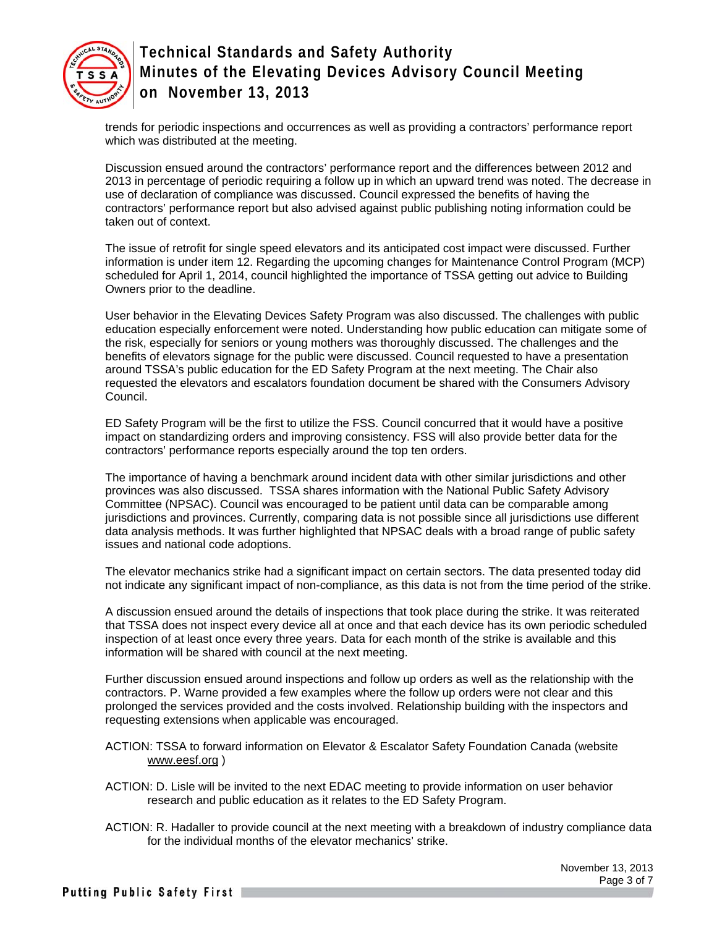

trends for periodic inspections and occurrences as well as providing a contractors' performance report which was distributed at the meeting.

Discussion ensued around the contractors' performance report and the differences between 2012 and 2013 in percentage of periodic requiring a follow up in which an upward trend was noted. The decrease in use of declaration of compliance was discussed. Council expressed the benefits of having the contractors' performance report but also advised against public publishing noting information could be taken out of context.

The issue of retrofit for single speed elevators and its anticipated cost impact were discussed. Further information is under item 12. Regarding the upcoming changes for Maintenance Control Program (MCP) scheduled for April 1, 2014, council highlighted the importance of TSSA getting out advice to Building Owners prior to the deadline.

User behavior in the Elevating Devices Safety Program was also discussed. The challenges with public education especially enforcement were noted. Understanding how public education can mitigate some of the risk, especially for seniors or young mothers was thoroughly discussed. The challenges and the benefits of elevators signage for the public were discussed. Council requested to have a presentation around TSSA's public education for the ED Safety Program at the next meeting. The Chair also requested the elevators and escalators foundation document be shared with the Consumers Advisory Council.

ED Safety Program will be the first to utilize the FSS. Council concurred that it would have a positive impact on standardizing orders and improving consistency. FSS will also provide better data for the contractors' performance reports especially around the top ten orders.

The importance of having a benchmark around incident data with other similar jurisdictions and other provinces was also discussed. TSSA shares information with the National Public Safety Advisory Committee (NPSAC). Council was encouraged to be patient until data can be comparable among jurisdictions and provinces. Currently, comparing data is not possible since all jurisdictions use different data analysis methods. It was further highlighted that NPSAC deals with a broad range of public safety issues and national code adoptions.

The elevator mechanics strike had a significant impact on certain sectors. The data presented today did not indicate any significant impact of non-compliance, as this data is not from the time period of the strike.

A discussion ensued around the details of inspections that took place during the strike. It was reiterated that TSSA does not inspect every device all at once and that each device has its own periodic scheduled inspection of at least once every three years. Data for each month of the strike is available and this information will be shared with council at the next meeting.

Further discussion ensued around inspections and follow up orders as well as the relationship with the contractors. P. Warne provided a few examples where the follow up orders were not clear and this prolonged the services provided and the costs involved. Relationship building with the inspectors and requesting extensions when applicable was encouraged.

ACTION: TSSA to forward information on Elevator & Escalator Safety Foundation Canada (website www.eesf.org )

ACTION: D. Lisle will be invited to the next EDAC meeting to provide information on user behavior research and public education as it relates to the ED Safety Program.

ACTION: R. Hadaller to provide council at the next meeting with a breakdown of industry compliance data for the individual months of the elevator mechanics' strike.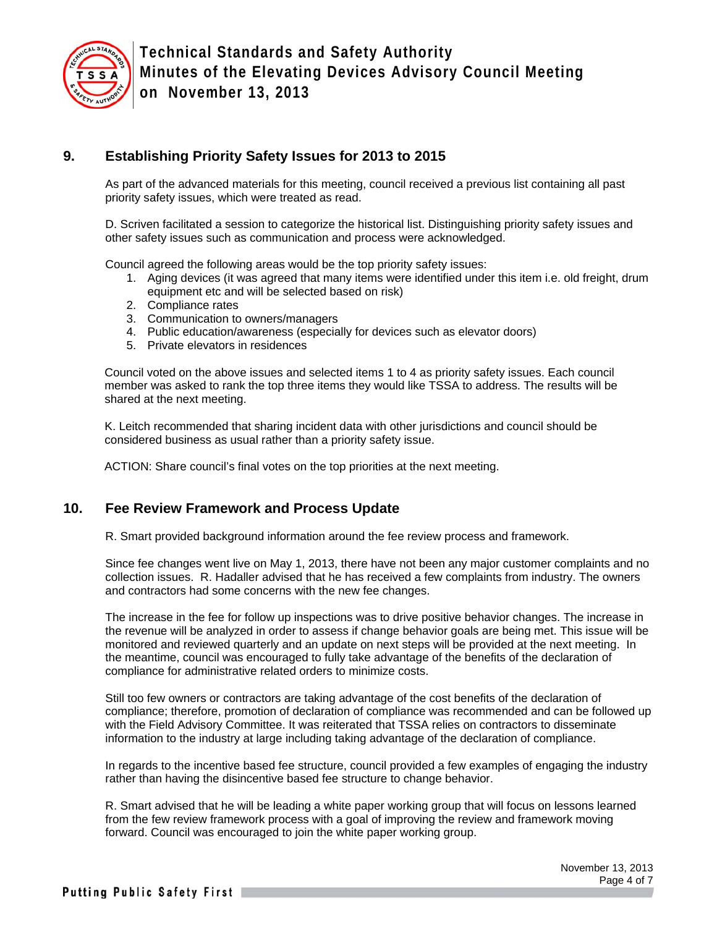

## **9. Establishing Priority Safety Issues for 2013 to 2015**

As part of the advanced materials for this meeting, council received a previous list containing all past priority safety issues, which were treated as read.

D. Scriven facilitated a session to categorize the historical list. Distinguishing priority safety issues and other safety issues such as communication and process were acknowledged.

Council agreed the following areas would be the top priority safety issues:

- 1. Aging devices (it was agreed that many items were identified under this item i.e. old freight, drum equipment etc and will be selected based on risk)
- 2. Compliance rates
- 3. Communication to owners/managers
- 4. Public education/awareness (especially for devices such as elevator doors)
- 5. Private elevators in residences

Council voted on the above issues and selected items 1 to 4 as priority safety issues. Each council member was asked to rank the top three items they would like TSSA to address. The results will be shared at the next meeting.

K. Leitch recommended that sharing incident data with other jurisdictions and council should be considered business as usual rather than a priority safety issue.

ACTION: Share council's final votes on the top priorities at the next meeting.

### **10. Fee Review Framework and Process Update**

R. Smart provided background information around the fee review process and framework.

Since fee changes went live on May 1, 2013, there have not been any major customer complaints and no collection issues. R. Hadaller advised that he has received a few complaints from industry. The owners and contractors had some concerns with the new fee changes.

The increase in the fee for follow up inspections was to drive positive behavior changes. The increase in the revenue will be analyzed in order to assess if change behavior goals are being met. This issue will be monitored and reviewed quarterly and an update on next steps will be provided at the next meeting. In the meantime, council was encouraged to fully take advantage of the benefits of the declaration of compliance for administrative related orders to minimize costs.

Still too few owners or contractors are taking advantage of the cost benefits of the declaration of compliance; therefore, promotion of declaration of compliance was recommended and can be followed up with the Field Advisory Committee. It was reiterated that TSSA relies on contractors to disseminate information to the industry at large including taking advantage of the declaration of compliance.

In regards to the incentive based fee structure, council provided a few examples of engaging the industry rather than having the disincentive based fee structure to change behavior.

R. Smart advised that he will be leading a white paper working group that will focus on lessons learned from the few review framework process with a goal of improving the review and framework moving forward. Council was encouraged to join the white paper working group.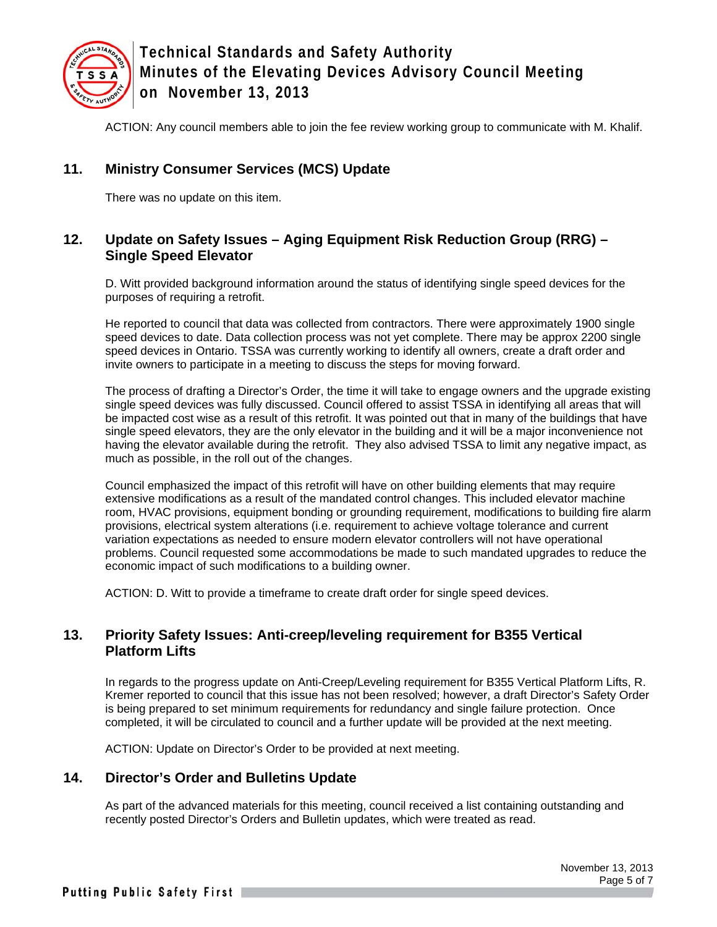

ACTION: Any council members able to join the fee review working group to communicate with M. Khalif.

## **11. Ministry Consumer Services (MCS) Update**

There was no update on this item.

## **12. Update on Safety Issues – Aging Equipment Risk Reduction Group (RRG) – Single Speed Elevator**

D. Witt provided background information around the status of identifying single speed devices for the purposes of requiring a retrofit.

He reported to council that data was collected from contractors. There were approximately 1900 single speed devices to date. Data collection process was not yet complete. There may be approx 2200 single speed devices in Ontario. TSSA was currently working to identify all owners, create a draft order and invite owners to participate in a meeting to discuss the steps for moving forward.

The process of drafting a Director's Order, the time it will take to engage owners and the upgrade existing single speed devices was fully discussed. Council offered to assist TSSA in identifying all areas that will be impacted cost wise as a result of this retrofit. It was pointed out that in many of the buildings that have single speed elevators, they are the only elevator in the building and it will be a major inconvenience not having the elevator available during the retrofit. They also advised TSSA to limit any negative impact, as much as possible, in the roll out of the changes.

Council emphasized the impact of this retrofit will have on other building elements that may require extensive modifications as a result of the mandated control changes. This included elevator machine room, HVAC provisions, equipment bonding or grounding requirement, modifications to building fire alarm provisions, electrical system alterations (i.e. requirement to achieve voltage tolerance and current variation expectations as needed to ensure modern elevator controllers will not have operational problems. Council requested some accommodations be made to such mandated upgrades to reduce the economic impact of such modifications to a building owner.

ACTION: D. Witt to provide a timeframe to create draft order for single speed devices.

#### **13. Priority Safety Issues: Anti-creep/leveling requirement for B355 Vertical Platform Lifts**

In regards to the progress update on Anti-Creep/Leveling requirement for B355 Vertical Platform Lifts, R. Kremer reported to council that this issue has not been resolved; however, a draft Director's Safety Order is being prepared to set minimum requirements for redundancy and single failure protection. Once completed, it will be circulated to council and a further update will be provided at the next meeting.

ACTION: Update on Director's Order to be provided at next meeting.

## **14. Director's Order and Bulletins Update**

As part of the advanced materials for this meeting, council received a list containing outstanding and recently posted Director's Orders and Bulletin updates, which were treated as read.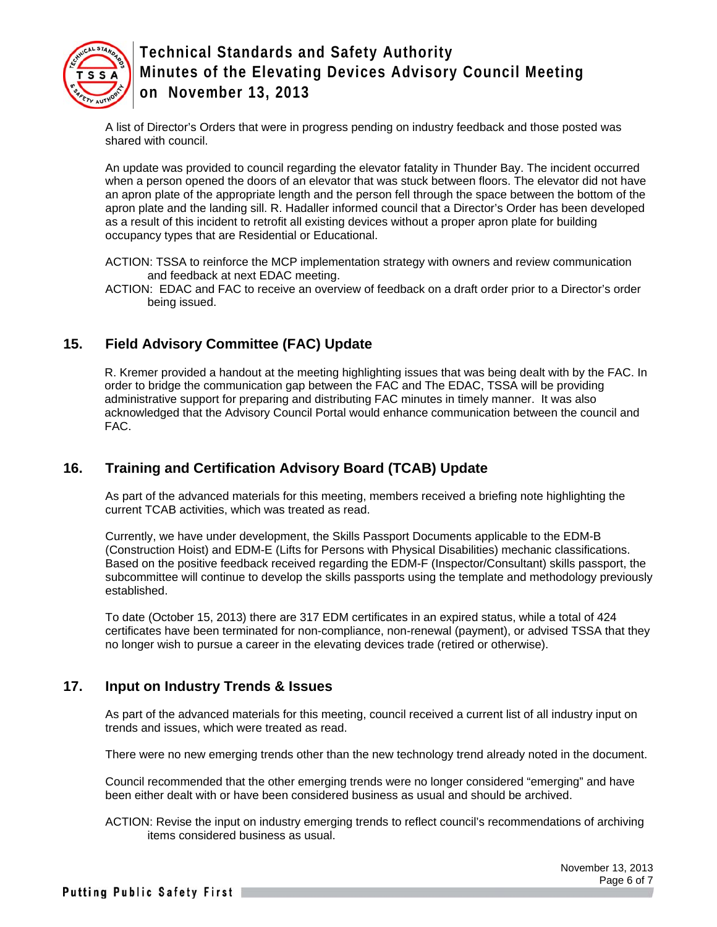

A list of Director's Orders that were in progress pending on industry feedback and those posted was shared with council.

An update was provided to council regarding the elevator fatality in Thunder Bay. The incident occurred when a person opened the doors of an elevator that was stuck between floors. The elevator did not have an apron plate of the appropriate length and the person fell through the space between the bottom of the apron plate and the landing sill. R. Hadaller informed council that a Director's Order has been developed as a result of this incident to retrofit all existing devices without a proper apron plate for building occupancy types that are Residential or Educational.

- ACTION: TSSA to reinforce the MCP implementation strategy with owners and review communication and feedback at next EDAC meeting.
- ACTION: EDAC and FAC to receive an overview of feedback on a draft order prior to a Director's order being issued.

## **15. Field Advisory Committee (FAC) Update**

R. Kremer provided a handout at the meeting highlighting issues that was being dealt with by the FAC. In order to bridge the communication gap between the FAC and The EDAC, TSSA will be providing administrative support for preparing and distributing FAC minutes in timely manner. It was also acknowledged that the Advisory Council Portal would enhance communication between the council and FAC.

# **16. Training and Certification Advisory Board (TCAB) Update**

As part of the advanced materials for this meeting, members received a briefing note highlighting the current TCAB activities, which was treated as read.

Currently, we have under development, the Skills Passport Documents applicable to the EDM-B (Construction Hoist) and EDM-E (Lifts for Persons with Physical Disabilities) mechanic classifications. Based on the positive feedback received regarding the EDM-F (Inspector/Consultant) skills passport, the subcommittee will continue to develop the skills passports using the template and methodology previously established.

To date (October 15, 2013) there are 317 EDM certificates in an expired status, while a total of 424 certificates have been terminated for non-compliance, non-renewal (payment), or advised TSSA that they no longer wish to pursue a career in the elevating devices trade (retired or otherwise).

## **17. Input on Industry Trends & Issues**

As part of the advanced materials for this meeting, council received a current list of all industry input on trends and issues, which were treated as read.

There were no new emerging trends other than the new technology trend already noted in the document.

Council recommended that the other emerging trends were no longer considered "emerging" and have been either dealt with or have been considered business as usual and should be archived.

ACTION: Revise the input on industry emerging trends to reflect council's recommendations of archiving items considered business as usual.